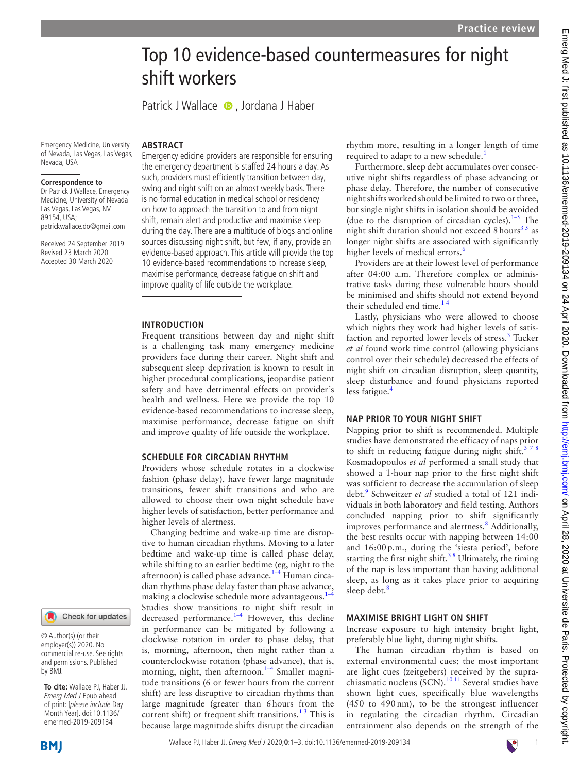# Top 10 evidence-based countermeasures for night shift workers

PatrickJ Wallace  $\bullet$ , Jordana J Haber

Emergency Medicine, University of Nevada, Las Vegas, Las Vegas, Nevada, USA

#### **Correspondence to**

Dr Patrick J Wallace, Emergency Medicine, University of Nevada Las Vegas, Las Vegas, NV 89154, USA; patrickwallace.do@gmail.com

Received 24 September 2019 Revised 23 March 2020 Accepted 30 March 2020

Emergency edicine providers are responsible for ensuring the emergency department is staffed 24 hours a day. As such, providers must efficiently transition between day, swing and night shift on an almost weekly basis. There is no formal education in medical school or residency on how to approach the transition to and from night shift, remain alert and productive and maximise sleep during the day. There are a multitude of blogs and online sources discussing night shift, but few, if any, provide an evidence-based approach. This article will provide the top 10 evidence-based recommendations to increase sleep, maximise performance, decrease fatigue on shift and improve quality of life outside the workplace.

#### **INTRODUCTION**

**ARSTRACT** 

Frequent transitions between day and night shift is a challenging task many emergency medicine providers face during their career. Night shift and subsequent sleep deprivation is known to result in higher procedural complications, jeopardise patient safety and have detrimental effects on provider's health and wellness. Here we provide the top 10 evidence-based recommendations to increase sleep, maximise performance, decrease fatigue on shift and improve quality of life outside the workplace.

### **Schedule for circadian rhythm**

Providers whose schedule rotates in a clockwise fashion (phase delay), have fewer large magnitude transitions, fewer shift transitions and who are allowed to choose their own night schedule have higher levels of satisfaction, better performance and higher levels of alertness.

Changing bedtime and wake-up time are disruptive to human circadian rhythms. Moving to a later bedtime and wake-up time is called phase delay, while shifting to an earlier bedtime (eg, night to the afternoon) is called phase advance. $1-4$  Human circadian rhythms phase delay faster than phase advance, making a clockwise schedule more advantageous.<sup>1</sup> Studies show transitions to night shift result in decreased performance.<sup>1-4</sup> However, this decline in performance can be mitigated by following a clockwise rotation in order to phase delay, that is, morning, afternoon, then night rather than a counterclockwise rotation (phase advance), that is, morning, night, then afternoon. $1-4$  Smaller magnitude transitions (6 or fewer hours from the current shift) are less disruptive to circadian rhythms than large magnitude (greater than 6hours from the current shift) or frequent shift transitions.<sup>13</sup> This is because large magnitude shifts disrupt the circadian

rhythm more, resulting in a longer length of time required to adapt to a new schedule.<sup>1</sup>

Furthermore, sleep debt accumulates over consecutive night shifts regardless of phase advancing or phase delay. Therefore, the number of consecutive night shifts worked should be limited to two or three, but single night shifts in isolation should be avoided (due to the disruption of circadian cycles). $1-5$  The night shift duration should not exceed 8 hours<sup>35</sup> as longer night shifts are associated with significantly higher levels of medical errors.<sup>[6](#page-2-2)</sup>

Providers are at their lowest level of performance after 04:00 a.m. Therefore complex or administrative tasks during these vulnerable hours should be minimised and shifts should not extend beyond their scheduled end time.<sup>14</sup>

Lastly, physicians who were allowed to choose which nights they work had higher levels of satisfaction and reported lower levels of stress.<sup>3</sup> Tucker *et al* found work time control (allowing physicians control over their schedule) decreased the effects of night shift on circadian disruption, sleep quantity, sleep disturbance and found physicians reported less fatigue.<sup>4</sup>

#### **Nap prior to your night shift**

Napping prior to shift is recommended. Multiple studies have demonstrated the efficacy of naps prior to shift in reducing fatigue during night shift.<sup>378</sup> Kosmadopoulos *et al* performed a small study that showed a 1-hour nap prior to the first night shift was sufficient to decrease the accumulation of sleep debt.<sup>9</sup> Schweitzer *et al* studied a total of 121 individuals in both laboratory and field testing. Authors concluded napping prior to shift significantly improves performance and alertness.<sup>8</sup> Additionally, the best results occur with napping between 14:00 and 16:00p.m., during the 'siesta period', before starting the first night shift.<sup>38</sup> Ultimately, the timing of the nap is less important than having additional sleep, as long as it takes place prior to acquiring sleep debt.<sup>[8](#page-2-5)</sup>

#### **Maximise bright light on shift**

Increase exposure to high intensity bright light, preferably blue light, during night shifts.

The human circadian rhythm is based on external environmental cues; the most important are light cues (zeitgebers) received by the supra-chiasmatic nucleus (SCN).<sup>[10 11](#page-2-6)</sup> Several studies have shown light cues, specifically blue wavelengths (450 to 490 nm), to be the strongest influencer in regulating the circadian rhythm. Circadian entrainment also depends on the strength of the

### Check for updates

© Author(s) (or their employer(s)) 2020. No commercial re-use. See rights and permissions. Published by BMJ.

**To cite:** Wallace PJ, Haber JJ. Emerg Med J Epub ahead of print: [please include Day Month Year]. doi:10.1136/ emermed-2019-209134



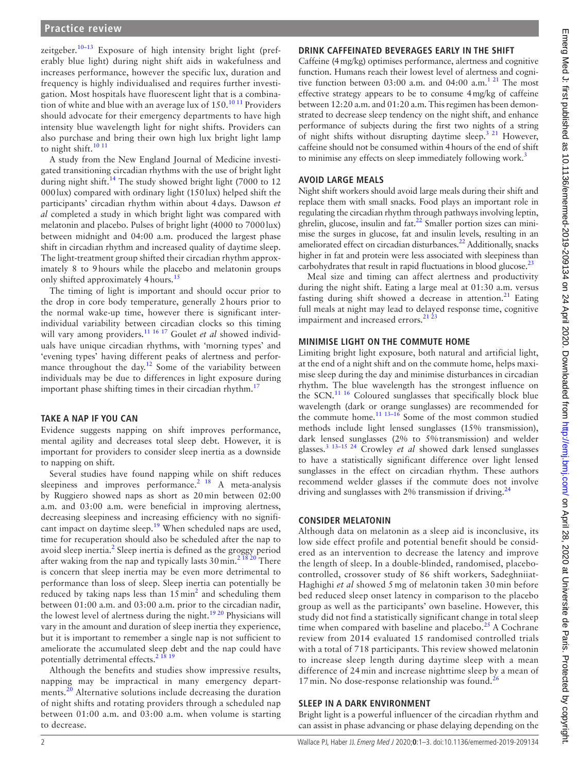zeitgeber.<sup>[10–13](#page-2-6)</sup> Exposure of high intensity bright light (preferably blue light) during night shift aids in wakefulness and increases performance, however the specific lux, duration and frequency is highly individualised and requires further investigation. Most hospitals have fluorescent light that is a combination of white and blue with an average lux of  $150^{10}$  <sup>10</sup> Providers should advocate for their emergency departments to have high intensity blue wavelength light for night shifts. Providers can also purchase and bring their own high lux bright light lamp to night shift.<sup>[10 11](#page-2-6)</sup>

A study from the New England Journal of Medicine investigated transitioning circadian rhythms with the use of bright light during night shift.<sup>14</sup> The study showed bright light (7000 to 12 000lux) compared with ordinary light (150lux) helped shift the participants' circadian rhythm within about 4days. Dawson *et al* completed a study in which bright light was compared with melatonin and placebo. Pulses of bright light (4000 to 7000lux) between midnight and 04:00 a.m. produced the largest phase shift in circadian rhythm and increased quality of daytime sleep. The light-treatment group shifted their circadian rhythm approximately 8 to 9hours while the placebo and melatonin groups only shifted approximately 4 hours.<sup>[15](#page-2-8)</sup>

The timing of light is important and should occur prior to the drop in core body temperature, generally 2hours prior to the normal wake-up time, however there is significant interindividual variability between circadian clocks so this timing will vary among providers.<sup>[11 16 17](#page-2-9)</sup> Goulet *et al* showed individuals have unique circadian rhythms, with 'morning types' and 'evening types' having different peaks of alertness and performance throughout the day.<sup>12</sup> Some of the variability between individuals may be due to differences in light exposure during important phase shifting times in their circadian rhythm.<sup>[17](#page-2-11)</sup>

### **Take a nap if you can**

Evidence suggests napping on shift improves performance, mental agility and decreases total sleep debt. However, it is important for providers to consider sleep inertia as a downside to napping on shift.

Several studies have found napping while on shift reduces sleepiness and improves performance.<sup>2</sup> <sup>18</sup> A meta-analysis by Ruggiero showed naps as short as 20min between 02:00 a.m. and 03:00 a.m. were beneficial in improving alertness, decreasing sleepiness and increasing efficiency with no signifi-cant impact on daytime sleep.<sup>[19](#page-2-13)</sup> When scheduled naps are used, time for recuperation should also be scheduled after the nap to avoid sleep inertia. $2$  Sleep inertia is defined as the groggy period after waking from the nap and typically lasts  $30 \text{ min.}^{2\frac{18}{20}}$  There is concern that sleep inertia may be even more detrimental to performance than loss of sleep. Sleep inertia can potentially be reduced by taking naps less than  $15 \text{ min}^2$  $15 \text{ min}^2$  and scheduling them between 01:00 a.m. and 03:00 a.m. prior to the circadian nadir, the lowest level of alertness during the night.<sup>19 20</sup> Physicians will vary in the amount and duration of sleep inertia they experience, but it is important to remember a single nap is not sufficient to ameliorate the accumulated sleep debt and the nap could have potentially detrimental effects.<sup>2</sup> <sup>18</sup><sup>19</sup>

Although the benefits and studies show impressive results, napping may be impractical in many emergency depart-ments.<sup>[20](#page-2-14)</sup> Alternative solutions include decreasing the duration of night shifts and rotating providers through a scheduled nap between 01:00 a.m. and 03:00 a.m. when volume is starting to decrease.

### **Drink caffeinated beverages early in the shift**

Caffeine (4mg/kg) optimises performance, alertness and cognitive function. Humans reach their lowest level of alertness and cognitive function between  $03:00$  a.m. and  $04:00$  a.m.<sup>1 21</sup> The most effective strategy appears to be to consume 4mg/kg of caffeine between 12:20 a.m. and 01:20 a.m. This regimen has been demonstrated to decrease sleep tendency on the night shift, and enhance performance of subjects during the first two nights of a string of night shifts without disrupting daytime sleep.<sup>3 21</sup> However, caffeine should not be consumed within 4hours of the end of shift to minimise any effects on sleep immediately following work.<sup>3</sup>

### **Avoid large meals**

Night shift workers should avoid large meals during their shift and replace them with small snacks. Food plays an important role in regulating the circadian rhythm through pathways involving leptin, ghrelin, glucose, insulin and fat. $^{22}$  Smaller portion sizes can minimise the surges in glucose, fat and insulin levels, resulting in an ameliorated effect on circadian disturbances. $^{22}$  Additionally, snacks higher in fat and protein were less associated with sleepiness than carbohydrates that result in rapid fluctuations in blood glucose. $^{23}$ 

Meal size and timing can affect alertness and productivity during the night shift. Eating a large meal at 01:30 a.m. versus fasting during shift showed a decrease in attention. $21$  Eating full meals at night may lead to delayed response time, cognitive impairment and increased errors.<sup>21</sup><sup>23</sup>

### **Minimise light on the commute home**

Limiting bright light exposure, both natural and artificial light, at the end of a night shift and on the commute home, helps maximise sleep during the day and minimise disturbances in circadian rhythm. The blue wavelength has the strongest influence on the SCN.<sup>11 16</sup> Coloured sunglasses that specifically block blue wavelength (dark or orange sunglasses) are recommended for the commute home.<sup>11 13-16</sup> Some of the most common studied methods include light lensed sunglasses (15% transmission), dark lensed sunglasses (2% to 5%transmission) and welder glasses.[3 13–15 24](#page-2-1) Crowley *et al* showed dark lensed sunglasses to have a statistically significant difference over light lensed sunglasses in the effect on circadian rhythm. These authors recommend welder glasses if the commute does not involve driving and sunglasses with 2% transmission if driving. $^{24}$  $^{24}$  $^{24}$ 

# **Consider melatonin**

Although data on melatonin as a sleep aid is inconclusive, its low side effect profile and potential benefit should be considered as an intervention to decrease the latency and improve the length of sleep. In a double-blinded, randomised, placebocontrolled, crossover study of 86 shift workers, Sadeghniiat-Haghighi *et al* showed 5 mg of melatonin taken 30 min before bed reduced sleep onset latency in comparison to the placebo group as well as the participants' own baseline. However, this study did not find a statistically significant change in total sleep time when compared with baseline and placebo.<sup>25</sup> A Cochrane review from 2014 evaluated 15 randomised controlled trials with a total of 718 participants. This review showed melatonin to increase sleep length during daytime sleep with a mean difference of 24 min and increase nighttime sleep by a mean of 17 min. No dose-response relationship was found.<sup>[26](#page-2-20)</sup>

# **Sleep in a dark environment**

Bright light is a powerful influencer of the circadian rhythm and can assist in phase advancing or phase delaying depending on the